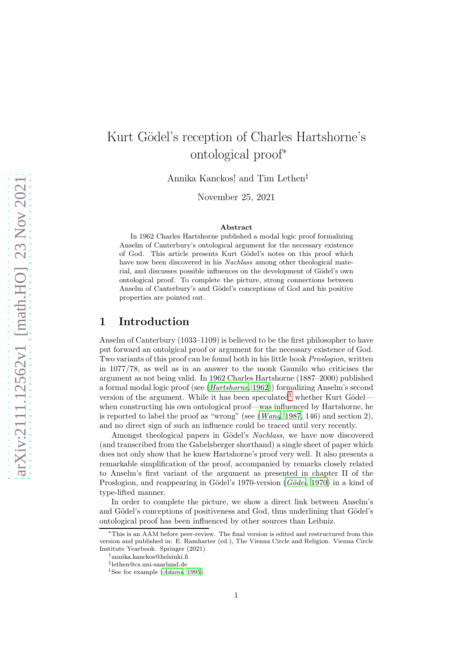# Kurt Gödel's reception of Charles Hartshorne's ontological proof<sup>∗</sup>

Annika Kanckos<sup>†</sup>, and Tim Lethen<sup>‡</sup>

November 25, 2021

#### Abstract

In 1962 Charles Hartshorne published a modal logic proof formalizing Anselm of Canterbury's ontological argument for the necessary existence of God. This article presents Kurt Gödel's notes on this proof which have now been discovered in his *Nachlass* among other theological material, and discusses possible influences on the development of Gödel's own ontological proof. To complete the picture, strong connections between Anselm of Canterbury's and Gödel's conceptions of God and his positive properties are pointed out.

### 1 Introduction

Anselm of Canterbury (1033–1109) is believed to be the first philosopher to have put forward an ontolgical proof or argument for the necessary existence of God. Two variants of this proof can be found both in his little book Proslogion, written in 1077/78, as well as in an answer to the monk Gaunilo who criticises the argument as not being valid. In 1962 Charles Hartshorne (1887–2000) published a formal modal logic proof (see ([Hartshorne](#page-10-0), [1962\)](#page-10-0)) formalizing Anselm's second version of the argument. While it has been speculated<sup>[1](#page-0-0)</sup> whether Kurt Gödel when constructing his own ontological proof—was influenced by Hartshorne, he is reported to label the proof as "wrong" (see  $(Wang, 1987, 146)$  $(Wang, 1987, 146)$  $(Wang, 1987, 146)$  $(Wang, 1987, 146)$  $(Wang, 1987, 146)$  and section 2), and no direct sign of such an influence could be traced until very recently.

Amongst theological papers in Gödel's *Nachlass*, we have now discovered (and transcribed from the Gabelsberger shorthand) a single sheet of paper which does not only show that he knew Hartshorne's proof very well. It also presents a remarkable simplification of the proof, accompanied by remarks closely related to Anselm's first variant of the argument as presented in chapter II of the Proslogion, and reappearing in Gödel's 1970-version (Gödel, [1970\)](#page-10-1) in a kind of type-lifted manner.

In order to complete the picture, we show a direct link between Anselm's and Gödel's conceptions of positiveness and God, thus underlining that Gödel's ontological proof has been influenced by other sources than Leibniz.

<sup>∗</sup>This is an AAM before peer-review. The final version is edited and restructured from this version and published in: E. Ramharter (ed.), The Vienna Circle and Religion. Vienna Circle Institute Yearbook. Springer (2021).

<sup>†</sup>annika.kanckos@helsinki.fi

<sup>‡</sup> lethen@cs.uni-saarland.de

<span id="page-0-0"></span><sup>&</sup>lt;sup>1</sup>See for example ( $Adams$ , [1995\)](#page-10-2).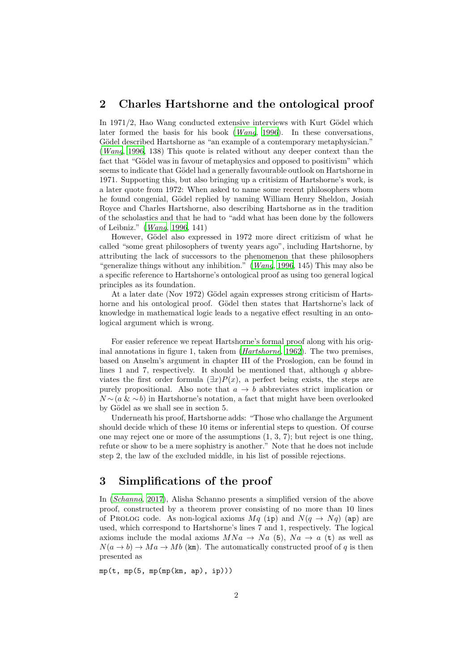### 2 Charles Hartshorne and the ontological proof

In  $1971/2$ , Hao Wang conducted extensive interviews with Kurt Gödel which later formed the basis for his book ([Wang](#page-11-1), [1996](#page-11-1)). In these conversations, Gödel described Hartshorne as "an example of a contemporary metaphysician." ([Wang](#page-11-1), [1996,](#page-11-1) 138) This quote is related without any deeper context than the fact that "Gödel was in favour of metaphysics and opposed to positivism" which seems to indicate that Gödel had a generally favourable outlook on Hartshorne in 1971. Supporting this, but also bringing up a critisizm of Hartshorne's work, is a later quote from 1972: When asked to name some recent philosophers whom he found congenial, Gödel replied by naming William Henry Sheldon, Josiah Royce and Charles Hartshorne, also describing Hartshorne as in the tradition of the scholastics and that he had to "add what has been done by the followers of Leibniz." ([Wang](#page-11-1), [1996](#page-11-1), 141)

However, Gödel also expressed in 1972 more direct critizism of what he called "some great philosophers of twenty years ago", including Hartshorne, by attributing the lack of successors to the phenomenon that these philosophers "generalize things without any inhibition." (*[Wang](#page-11-1)*, [1996](#page-11-1), 145) This may also be a specific reference to Hartshorne's ontological proof as using too general logical principles as its foundation.

At a later date (Nov 1972) Gödel again expresses strong criticism of Hartshorne and his ontological proof. Gödel then states that Hartshorne's lack of knowledge in mathematical logic leads to a negative effect resulting in an ontological argument which is wrong.

For easier reference we repeat Hartshorne's formal proof along with his original annotations in figure 1, taken from ([Hartshorne](#page-10-0), [1962](#page-10-0)). The two premises, based on Anselm's argument in chapter III of the Proslogion, can be found in lines 1 and 7, respectively. It should be mentioned that, although  $q$  abbreviates the first order formula  $(\exists x)P(x)$ , a perfect being exists, the steps are purely propositional. Also note that  $a \to b$  abbreviates strict implication or  $N \sim (a \& \sim b)$  in Hartshorne's notation, a fact that might have been overlooked by Gödel as we shall see in section 5.

Underneath his proof, Hartshorne adds: "Those who challange the Argument should decide which of these 10 items or inferential steps to question. Of course one may reject one or more of the assumptions (1, 3, 7); but reject is one thing, refute or show to be a mere sophistry is another." Note that he does not include step 2, the law of the excluded middle, in his list of possible rejections.

### 3 Simplifications of the proof

In ([Schanno](#page-11-2), [2017\)](#page-11-2), Alisha Schanno presents a simplified version of the above proof, constructed by a theorem prover consisting of no more than 10 lines of PROLOG code. As non-logical axioms  $Mq$  (ip) and  $N(q \rightarrow Nq)$  (ap) are used, which correspond to Hartshorne's lines 7 and 1, respectively. The logical axioms include the modal axioms  $MNa \rightarrow Na(5)$ ,  $Na \rightarrow a(t)$  as well as  $N(a \to b) \to Ma \to Mb$  (km). The automatically constructed proof of q is then presented as

 $mp(t, mp(5, mp(mp(km, ap), ip)))$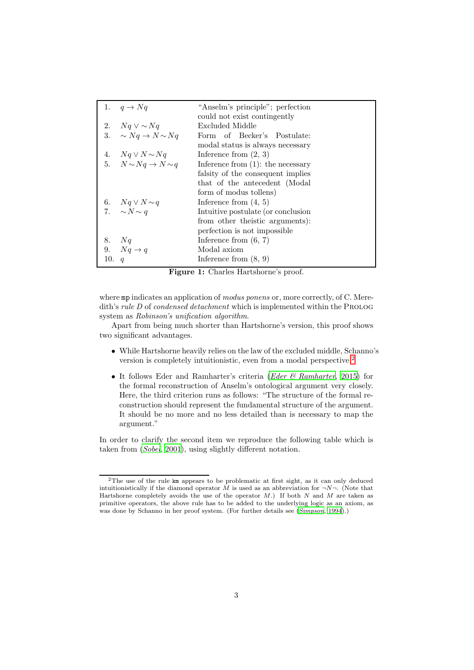|     | 1. $q \rightarrow Nq$               | "Anselm's principle"; perfection     |  |  |
|-----|-------------------------------------|--------------------------------------|--|--|
|     |                                     | could not exist contingently         |  |  |
|     | 2. $Nq \vee \sim Nq$                | Excluded Middle                      |  |  |
| 3.  | $\sim Nq \rightarrow N \sim Nq$     | Form of Becker's Postulate:          |  |  |
|     |                                     | modal status is always necessary     |  |  |
|     | 4. $Nq \vee N \sim Nq$              | Inference from $(2, 3)$              |  |  |
|     | 5. $N \sim Nq \rightarrow N \sim q$ | Inference from $(1)$ : the necessary |  |  |
|     |                                     | falsity of the consequent implies    |  |  |
|     |                                     | that of the antecedent (Modal        |  |  |
|     |                                     | form of modus tollens)               |  |  |
|     | 6. $Nq \vee N \sim q$               | Inference from $(4, 5)$              |  |  |
|     | 7. $\sim N \sim q$                  | Intuitive postulate (or conclusion   |  |  |
|     |                                     | from other theistic arguments):      |  |  |
|     |                                     | perfection is not impossible.        |  |  |
|     | 8. Nq                               | Inference from $(6, 7)$              |  |  |
|     | 9. $Nq \rightarrow q$               | Modal axiom                          |  |  |
| 10. | $\overline{q}$                      | Inference from $(8, 9)$              |  |  |

Figure 1: Charles Hartshorne's proof.

where mp indicates an application of modus ponens or, more correctly, of C. Meredith's rule  $D$  of condensed detachment which is implemented within the PROLOG system as Robinson's unification algorithm.

Apart from being much shorter than Hartshorne's version, this proof shows two significant advantages.

- While Hartshorne heavily relies on the law of the excluded middle, Schanno's version is completely intuitionistic, even from a modal perspective.[2](#page-2-0)
- It follows Eder and Ramharter's criteria (*Eder*  $\mathcal{C}$  *Ramharter*, [2015](#page-10-3)) for the formal reconstruction of Anselm's ontological argument very closely. Here, the third criterion runs as follows: "The structure of the formal reconstruction should represent the fundamental structure of the argument. It should be no more and no less detailed than is necessary to map the argument."

In order to clarify the second item we reproduce the following table which is taken from ([Sobel](#page-11-3), [2001\)](#page-11-3), using slightly different notation.

<span id="page-2-0"></span><sup>&</sup>lt;sup>2</sup>The use of the rule km appears to be problematic at first sight, as it can only deduced intuitionistically if the diamond operator M is used as an abbreviation for  $\neg N\neg$ . (Note that Hartshorne completely avoids the use of the operator  $M$ .) If both  $N$  and  $M$  are taken as primitive operators, the above rule has to be added to the underlying logic as an axiom, as was done by Schanno in her proof system. (For further details see ([Simpson](#page-11-4), [1994](#page-11-4)).)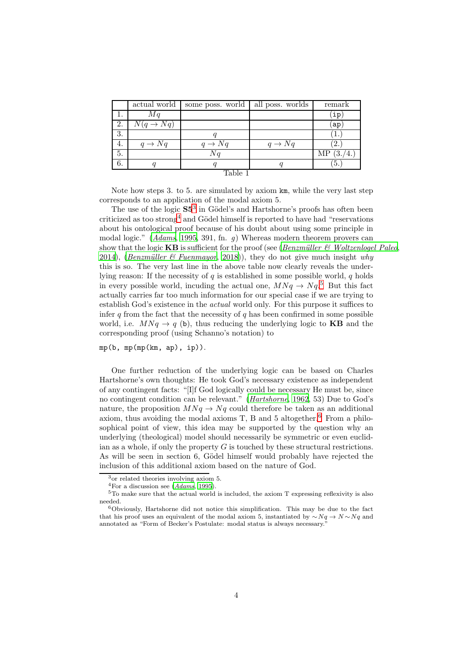|       | actual world          | some poss. world   | all poss. worlds   | remark    |  |  |
|-------|-----------------------|--------------------|--------------------|-----------|--|--|
| 1.    | Mq                    |                    |                    | įр        |  |  |
| 2.    | $N(q \rightarrow Nq)$ |                    |                    | ap        |  |  |
| 3.    |                       |                    |                    |           |  |  |
| 4.    | $q \rightarrow Nq$    | $q \rightarrow Nq$ | $q \rightarrow Nq$ | 2.        |  |  |
| 5.    |                       | Nq                 |                    | ΜP<br>΄3. |  |  |
| 6.    |                       |                    |                    | 5.        |  |  |
| Table |                       |                    |                    |           |  |  |

Note how steps 3. to 5. are simulated by axiom km, while the very last step corresponds to an application of the modal axiom 5.

The use of the logic  $S5<sup>3</sup>$  $S5<sup>3</sup>$  $S5<sup>3</sup>$  in Gödel's and Hartshorne's proofs has often been criticized as too strong<sup>[4](#page-3-1)</sup> and Gödel himself is reported to have had "reservations" about his ontological proof because of his doubt about using some principle in modal logic." ([Adams](#page-10-2), [1995,](#page-10-2) 391, fn. g) Whereas modern theorem provers can show that the logic  $KB$  is sufficient for the proof (see (Benzmüller & Woltzenlogel Paleo, [2014\)](#page-10-4), (Benzmüller & Fuenmayor, [2018\)](#page-10-5)), they do not give much insight why this is so. The very last line in the above table now clearly reveals the underlying reason: If the necessity of  $q$  is established in some possible world,  $q$  holds in every possible world, incuding the actual one,  $MNq \rightarrow Nq$ <sup>[5](#page-3-2)</sup> But this fact actually carries far too much information for our special case if we are trying to establish God's existence in the actual world only. For this purpose it suffices to infer q from the fact that the necessity of q has been confirmed in some possible world, i.e.  $MNq \rightarrow q$  (b), thus reducing the underlying logic to **KB** and the corresponding proof (using Schanno's notation) to

 $mp(b, mp (mp(km, ap), ip)).$ 

One further reduction of the underlying logic can be based on Charles Hartshorne's own thoughts: He took God's necessary existence as independent of any contingent facts: "[I]f God logically could be necessary He must be, since no contingent condition can be relevant." ([Hartshorne](#page-10-0), [1962](#page-10-0), 53) Due to God's nature, the proposition  $MNq \rightarrow Ng$  could therefore be taken as an additional axiom, thus avoiding the modal axioms  $T$ ,  $B$  and  $5$  altogether.<sup>[6](#page-3-3)</sup> From a philosophical point of view, this idea may be supported by the question why an underlying (theological) model should necessarily be symmetric or even euclidian as a whole, if only the property  $G$  is touched by these structural restrictions. As will be seen in section 6, Gödel himself would probably have rejected the inclusion of this additional axiom based on the nature of God.

<sup>3</sup>or related theories involving axiom 5.

<span id="page-3-1"></span><span id="page-3-0"></span> $4$ For a discussion see ([Adams](#page-10-2), [1995](#page-10-2)).

<span id="page-3-2"></span> $5T<sub>5</sub>$  make sure that the actual world is included, the axiom T expressing reflexivity is also needed.

<span id="page-3-3"></span><sup>6</sup>Obviously, Hartshorne did not notice this simplification. This may be due to the fact that his proof uses an equivalent of the modal axiom 5, instantiated by  $\sim Nq \rightarrow N \sim Nq$  and annotated as "Form of Becker's Postulate: modal status is always necessary."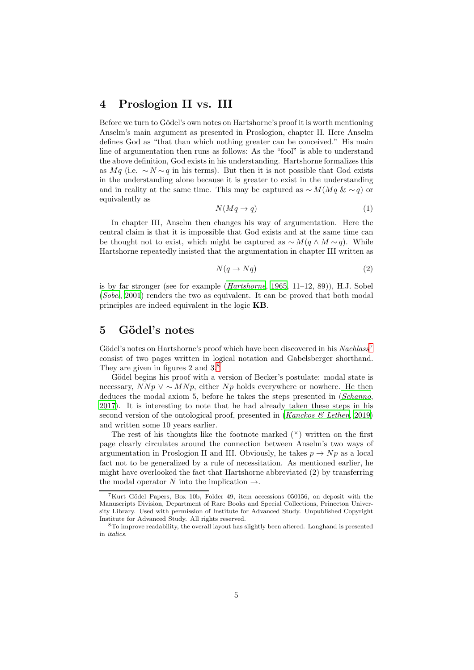### 4 Proslogion II vs. III

Before we turn to Gödel's own notes on Hartshorne's proof it is worth mentioning Anselm's main argument as presented in Proslogion, chapter II. Here Anselm defines God as "that than which nothing greater can be conceived." His main line of argumentation then runs as follows: As the "fool" is able to understand the above definition, God exists in his understanding. Hartshorne formalizes this as Mq (i.e.  $\sim N \sim q$  in his terms). But then it is not possible that God exists in the understanding alone because it is greater to exist in the understanding and in reality at the same time. This may be captured as  $\sim M(Mq \& \sim q)$  or equivalently as

$$
N(Mq \to q) \tag{1}
$$

In chapter III, Anselm then changes his way of argumentation. Here the central claim is that it is impossible that God exists and at the same time can be thought not to exist, which might be captured as  $\sim M(q \wedge M \sim q)$ . While Hartshorne repeatedly insisted that the argumentation in chapter III written as

$$
N(q \to Nq) \tag{2}
$$

is by far stronger (see for example  $(Hartshorne, 1965, 11-12, 89)$  $(Hartshorne, 1965, 11-12, 89)$  $(Hartshorne, 1965, 11-12, 89)$  $(Hartshorne, 1965, 11-12, 89)$  $(Hartshorne, 1965, 11-12, 89)$ ), H.J. Sobel ([Sobel](#page-11-3), [2001\)](#page-11-3) renders the two as equivalent. It can be proved that both modal principles are indeed equivalent in the logic KB.

### 5 Gödel's notes

Gödel's notes on Hartshorne's proof which have been discovered in his  $Nachlass^7$  $Nachlass^7$ consist of two pages written in logical notation and Gabelsberger shorthand. They are given in figures 2 and  $3.8^{\circ}$  $3.8^{\circ}$  $3.8^{\circ}$ 

Gödel begins his proof with a version of Becker's postulate: modal state is necessary,  $N N p \vee \sim M N p$ , either  $N p$  holds everywhere or nowhere. He then deduces the modal axiom 5, before he takes the steps presented in ([Schanno](#page-11-2), [2017\)](#page-11-2). It is interesting to note that he had already taken these steps in his second version of the ontological proof, presented in  $(Kanckos \&\, Lethen, 2019)$  $(Kanckos \&\, Lethen, 2019)$ and written some 10 years earlier.

The rest of his thoughts like the footnote marked  $(\times)$  written on the first page clearly circulates around the connection between Anselm's two ways of argumentation in Proslogion II and III. Obviously, he takes  $p \to Np$  as a local fact not to be generalized by a rule of necessitation. As mentioned earlier, he might have overlooked the fact that Hartshorne abbreviated (2) by transferring the modal operator N into the implication  $\rightarrow$ .

<span id="page-4-0"></span><sup>7</sup>Kurt G¨odel Papers, Box 10b, Folder 49, item accessions 050156, on deposit with the Manuscripts Division, Department of Rare Books and Special Collections, Princeton University Library. Used with permission of Institute for Advanced Study. Unpublished Copyright Institute for Advanced Study. All rights reserved.

<span id="page-4-1"></span><sup>8</sup>To improve readability, the overall layout has slightly been altered. Longhand is presented in italics.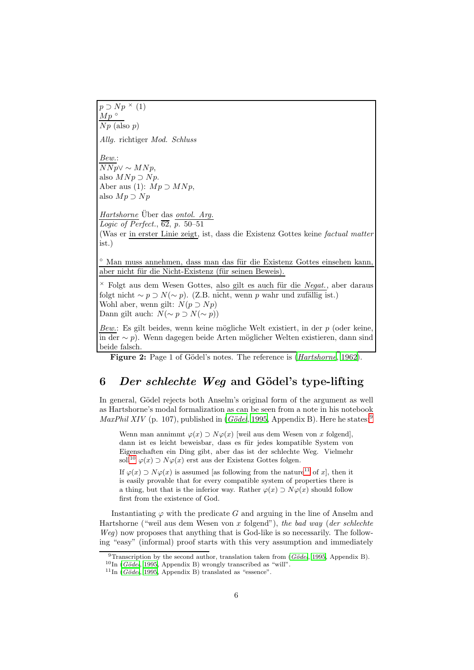$p \supset Np^{\times}(1)$  $Mp$ °  $\overline{Np}$  (also p) Allg. richtiger Mod. Schluss Bew.:  $NNp$ ∨ ∼  $M N p$ , also  $M N p \supset N p$ . Aber aus (1):  $Mp \supset MNp$ , also  $Mp \supset Np$ Hartshorne Über das ontol. Arg. Logic of Perfect.,  $\overline{62}$ , p. 50–51 (Was er in erster Linie zeigt, ist, dass die Existenz Gottes keine factual matter ist.)  $\degree$  Man muss annehmen, dass man das für die Existenz Gottes einsehen kann. aber nicht für die Nicht-Existenz (für seinen Beweis).  $\times$  Folgt aus dem Wesen Gottes, also gilt es auch für die Negat., aber daraus folgt nicht ~  $p \supset N(\sim p)$ . (Z.B. nicht, wenn p wahr und zufällig ist.) Wohl aber, wenn gilt:  $N(p \supset Np)$ Dann gilt auch:  $N(\sim p \supset N(\sim p))$ 

Bew.: Es gilt beides, wenn keine mögliche Welt existiert, in der  $p$  (oder keine,  $\overline{\text{in der}} \sim p$ ). Wenn dagegen beide Arten möglicher Welten existieren, dann sind beide falsch.

Figure 2: Page 1 of Gödel's notes. The reference is (*[Hartshorne](#page-10-0)*, [1962](#page-10-0)).

## 6 Der schlechte Weg and Gödel's type-lifting

In general, Gödel rejects both Anselm's original form of the argument as well as Hartshorne's modal formalization as can be seen from a note in his notebook MaxPhil XIV (p. 107), published in (Gödel, [1995,](#page-10-6) Appendix B). Here he states:<sup>[9](#page-5-0)</sup>

Wenn man annimmt  $\varphi(x) \supset N\varphi(x)$  [weil aus dem Wesen von x folgend], dann ist es leicht beweisbar, dass es für jedes kompatible System von Eigenschaften ein Ding gibt, aber das ist der schlechte Weg. Vielmehr soll<sup>[10](#page-5-1)</sup>  $\varphi(x) \supset N\varphi(x)$  erst aus der Existenz Gottes folgen.

If  $\varphi(x) \supset N\varphi(x)$  is assumed [as following from the nature<sup>[11](#page-5-2)</sup> of x], then it is easily provable that for every compatible system of properties there is a thing, but that is the inferior way. Rather  $\varphi(x) \supset N\varphi(x)$  should follow first from the existence of God.

Instantiating  $\varphi$  with the predicate G and arguing in the line of Anselm and Hartshorne ("weil aus dem Wesen von  $x$  folgend"), the bad way (der schlechte Weg) now proposes that anything that is God-like is so necessarily. The following "easy" (informal) proof starts with this very assumption and immediately

<sup>&</sup>lt;sup>9</sup>Transcription by the second author, translation taken from (*Gödel*, [1995,](#page-10-6) Appendix B).

<span id="page-5-0"></span> ${}^{10}\text{In}$  (Gödel, [1995](#page-10-6), Appendix B) wrongly transcribed as "will".

<span id="page-5-2"></span><span id="page-5-1"></span> $^{11}$ In (Gödel, [1995](#page-10-6), Appendix B) translated as "essence".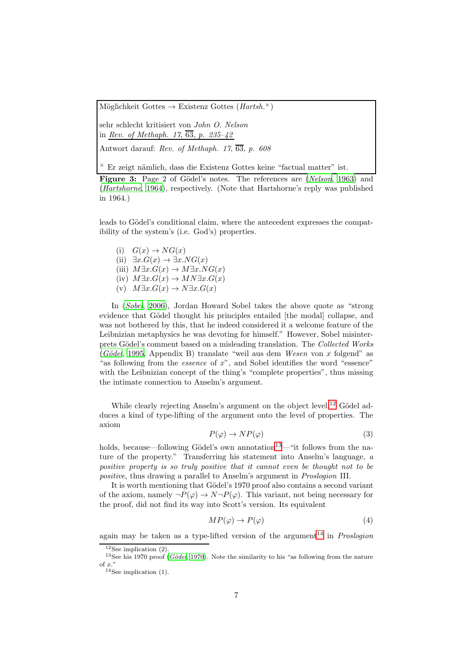Möglichkeit Gottes  $\rightarrow$  Existenz Gottes (*Hartsh.*<sup> $\times$ </sup>)

sehr schlecht kritisiert von John O. Nelson in Rev. of Methaph. 17,  $\overline{63}$ , p. 235-42

Antwort darauf: Rev. of Methaph. 17,  $\overline{63}$ , p. 608

 $\times$  Er zeigt nämlich, dass die Existenz Gottes keine "factual matter" ist.

Figure 3: Page 2 of Gödel's notes. The references are ([Nelson](#page-11-7), [1963\)](#page-11-7) and ([Hartshorne](#page-10-7), [1964\)](#page-10-7), respectively. (Note that Hartshorne's reply was published in 1964.)

leads to Gödel's conditional claim, where the antecedent expresses the compatibility of the system's (i.e. God's) properties.

(i)  $G(x) \rightarrow NG(x)$ (ii)  $\exists x . G(x) \rightarrow \exists x . NG(x)$ (iii)  $M\exists x.G(x)\rightarrow M\exists x.NG(x)$ (iv)  $M\exists x.G(x)\to MN\exists x.G(x)$ 

(v)  $M\exists x.G(x)\to N\exists x.G(x)$ 

In ([Sobel](#page-11-8), [2006\)](#page-11-8), Jordan Howard Sobel takes the above quote as "strong evidence that Gödel thought his principles entailed [the modal] collapse, and was not bothered by this, that he indeed considered it a welcome feature of the Leibnizian metaphysics he was devoting for himself." However, Sobel misinterprets Gödel's comment based on a misleading translation. The Collected Works  $(Gödel, 1995, Appendix B) translate "weil aus dem Wesen von x folgend" as$  $(Gödel, 1995, Appendix B) translate "weil aus dem Wesen von x folgend" as$  $(Gödel, 1995, Appendix B) translate "weil aus dem Wesen von x folgend" as$ "as following from the *essence* of  $x$ ", and Sobel identifies the word "essence" with the Leibnizian concept of the thing's "complete properties", thus missing the intimate connection to Anselm's argument.

While clearly rejecting Anselm's argument on the object level, $^{12}$  $^{12}$  $^{12}$  Gödel adduces a kind of type-lifting of the argument onto the level of properties. The axiom

$$
P(\varphi) \to NP(\varphi) \tag{3}
$$

holds, because—following Gödel's own annotation<sup>[13](#page-6-1)</sup>—"it follows from the nature of the property." Transferring his statement into Anselm's language, a positive property is so truly positive that it cannot even be thought not to be positive, thus drawing a parallel to Anselm's argument in Proslogion III.

It is worth mentioning that Gödel's 1970 proof also contains a second variant of the axiom, namely  $\neg P(\varphi) \rightarrow N \neg P(\varphi)$ . This variant, not being necessary for the proof, did not find its way into Scott's version. Its equivalent

$$
MP(\varphi) \to P(\varphi) \tag{4}
$$

again may be taken as a type-lifted version of the argument<sup>[14](#page-6-2)</sup> in *Proslogion* 

<span id="page-6-0"></span> $12$ See implication (2).

<sup>&</sup>lt;sup>13</sup>See his 1970 proof (Gödel, [1970\)](#page-10-1). Note the similarity to his "as following from the nature of  $x$ ."

<span id="page-6-2"></span><span id="page-6-1"></span> $14$ See implication (1).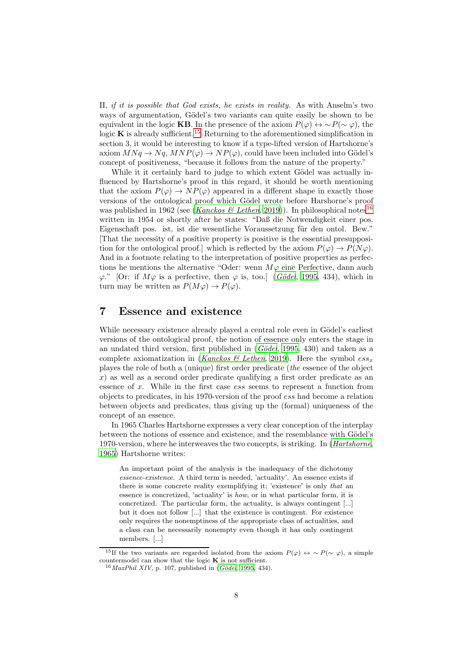II, if it is possible that God exists, he exists in reality. As with Anselm's two ways of argumentation, Gödel's two variants can quite easily be shown to be equivalent in the logic KB. In the presence of the axiom  $P(\varphi) \leftrightarrow \sim P(\sim \varphi)$ , the logic  $\bf{K}$  is already sufficient.<sup>[15](#page-7-0)</sup> Returning to the aforementioned simplification in section 3, it would be interesting to know if a type-lifted version of Hartshorne's axiom  $MNq \to Nq$ ,  $MNP(\varphi) \to NP(\varphi)$ , could have been included into Gödel's concept of positiveness, "because it follows from the nature of the property."

While it it certainly hard to judge to which extent Gödel was actually influenced by Hartshorne's proof in this regard, it should be worth mentioning that the axiom  $P(\varphi) \to NP(\varphi)$  appeared in a different shape in exactly those versions of the ontological proof which Gödel wrote before Harshorne's proof was published in 1962 (see (*[Kanckos & Lethen](#page-11-6)*, [2019](#page-11-6))). In philosophical notes<sup>[16](#page-7-1)</sup> written in 1954 or shortly after he states: "Daß die Notwendigkeit einer pos. Eigenschaft pos. ist, ist die wesentliche Voraussetzung für den ontol. Bew." [That the necessity of a positive property is positive is the essential presupposition for the ontological proof.] which is reflected by the axiom  $P(\varphi) \to P(N\varphi)$ . And in a footnote relating to the interpretation of positive properties as perfections he mentions the alternative "Oder: wenn  $M\varphi$  eine Perfective, dann auch  $\varphi$ ." [Or: if  $M\varphi$  is a perfective, then  $\varphi$  is, too.] (*Gödel*, [1995](#page-10-6), 434), which in turn may be written as  $P(M\varphi) \to P(\varphi)$ .

#### 7 Essence and existence

While necessary existence already played a central role even in Gödel's earliest versions of the ontological proof, the notion of essence only enters the stage in an undated third version, first published in  $(Gödel, 1995, 430)$  $(Gödel, 1995, 430)$  $(Gödel, 1995, 430)$  and taken as a complete axiomatization in ([Kanckos & Lethen](#page-11-6), [2019\)](#page-11-6). Here the symbol  $ess_x$ playes the role of both a (unique) first order predicate (the essence of the object  $x$ ) as well as a second order predicate qualifying a first order predicate as an essence of x. While in the first case ess seems to represent a function from objects to predicates, in his 1970-version of the proof ess had become a relation between objects and predicates, thus giving up the (formal) uniqueness of the concept of an essence.

In 1965 Charles Hartshorne expresses a very clear conception of the interplay between the notions of essence and existence, and the resemblance with Gödel's 1970-version, where he interweaves the two concepts, is striking. In ([Hartshorne](#page-11-5), [1965\)](#page-11-5) Hartshorne writes:

An important point of the analysis is the inadequacy of the dichotomy essence-existence. A third term is needed, 'actuality'. An essence exists if there is some concrete reality exemplifying it; 'existence' is only that an essence is concretized, 'actuality' is how, or in what particular form, it is concretized. The particular form, the actuality, is always contingent [...] but it does not follow [...] that the existence is contingent. For existence only requires the nonemptiness of the appropriate class of actualities, and a class can be necessarily nonempty even though it has only contingent members. [...]

<sup>&</sup>lt;sup>15</sup>If the two variants are regarded isolated from the axiom  $P(\varphi) \leftrightarrow \sim P(\sim \varphi)$ , a simple countermodel can show that the logic  $K$  is not sufficient.

<span id="page-7-1"></span><span id="page-7-0"></span> $16$  MaxPhil XIV, p. 107, published in (Gödel, [1995,](#page-10-6) 434).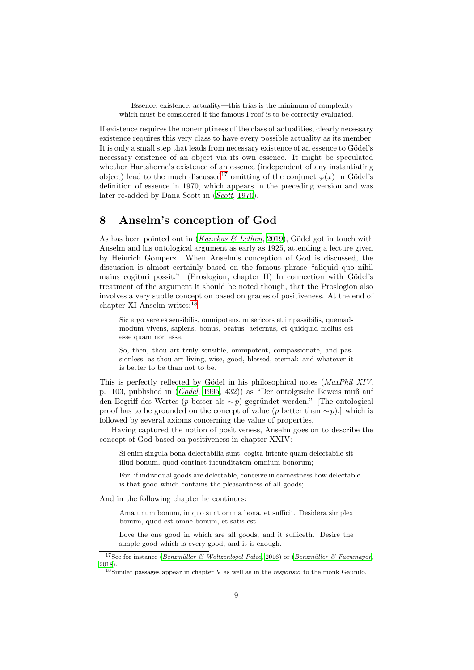Essence, existence, actuality—this trias is the minimum of complexity which must be considered if the famous Proof is to be correctly evaluated.

If existence requires the nonemptiness of the class of actualities, clearly necessary existence requires this very class to have every possible actuality as its member. It is only a small step that leads from necessary existence of an essence to Gödel's necessary existence of an object via its own essence. It might be speculated whether Hartshorne's existence of an essence (independent of any instantiating object) lead to the much discussed<sup>[17](#page-8-0)</sup> omitting of the conjunct  $\varphi(x)$  in Gödel's definition of essence in 1970, which appears in the preceding version and was later re-added by Dana Scott in ([Scott](#page-11-9), [1970](#page-11-9)).

### 8 Anselm's conception of God

As has been pointed out in (Kanckos  $\mathcal C$  Lethen, [2019](#page-11-6)), Gödel got in touch with Anselm and his ontological argument as early as 1925, attending a lecture given by Heinrich Gomperz. When Anselm's conception of God is discussed, the discussion is almost certainly based on the famous phrase "aliquid quo nihil maius cogitari possit." (Proslogion, chapter II) In connection with Gödel's treatment of the argument it should be noted though, that the Proslogion also involves a very subtle conception based on grades of positiveness. At the end of chapter XI Anselm writes:[18](#page-8-1)

Sic ergo vere es sensibilis, omnipotens, misericors et impassibilis, quemadmodum vivens, sapiens, bonus, beatus, aeternus, et quidquid melius est esse quam non esse.

So, then, thou art truly sensible, omnipotent, compassionate, and passionless, as thou art living, wise, good, blessed, eternal: and whatever it is better to be than not to be.

This is perfectly reflected by Gödel in his philosophical notes (MaxPhil XIV, p. 103, published in  $(Gödel, 1995, 432)$  $(Gödel, 1995, 432)$  $(Gödel, 1995, 432)$  as "Der ontolgische Beweis muß auf den Begriff des Wertes (p besser als ∼ p) gegründet werden." [The ontological proof has to be grounded on the concept of value (p better than  $\sim p$ ).] which is followed by several axioms concerning the value of properties.

Having captured the notion of positiveness, Anselm goes on to describe the concept of God based on positiveness in chapter XXIV:

Si enim singula bona delectabilia sunt, cogita intente quam delectabile sit illud bonum, quod continet iucunditatem omnium bonorum;

For, if individual goods are delectable, conceive in earnestness how delectable is that good which contains the pleasantness of all goods;

And in the following chapter he continues:

Ama unum bonum, in quo sunt omnia bona, et sufficit. Desidera simplex bonum, quod est omne bonum, et satis est.

Love the one good in which are all goods, and it sufficeth. Desire the simple good which is every good, and it is enough.

<sup>&</sup>lt;sup>17</sup>See for instance (Benzmüller & Woltzenlogel Paleo, [2016](#page-10-8)) or (Benzmüller & Fuenmayor, [2018\)](#page-10-5).

<span id="page-8-1"></span><span id="page-8-0"></span> $18\,\mathrm{Similar}$  passages appear in chapter V as well as in the *responsio* to the monk Gaunilo.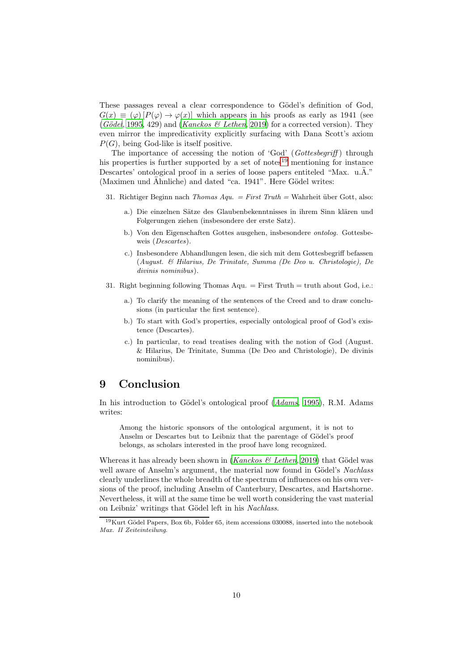These passages reveal a clear correspondence to Gödel's definition of God,  $G(x) \equiv (\varphi) [P(\varphi) \rightarrow \varphi(x)]$  which appears in his proofs as early as 1941 (see (Gödel, [1995,](#page-10-6) 429) and ([Kanckos & Lethen](#page-11-6), [2019\)](#page-11-6) for a corrected version). They even mirror the impredicativity explicitly surfacing with Dana Scott's axiom  $P(G)$ , being God-like is itself positive.

The importance of accessing the notion of 'God'  $(Gottesbegriff)$  through his properties is further supported by a set of notes $19$  mentioning for instance Descartes' ontological proof in a series of loose papers entiteled "Max. u. $\ddot{A}$ ." (Maximen und Ähnliche) and dated "ca.  $1941$ ". Here Gödel writes:

- 31. Richtiger Beginn nach Thomas  $Aqu. = First$  Truth = Wahrheit über Gott, also:
	- a.) Die einzelnen Sätze des Glaubenbekenntnisses in ihrem Sinn klären und Folgerungen ziehen (insbesondere der erste Satz).
	- b.) Von den Eigenschaften Gottes ausgehen, insbesondere ontolog. Gottesbeweis (*Descartes*).
	- c.) Insbesondere Abhandlungen lesen, die sich mit dem Gottesbegriff befassen (August. & Hilarius, De Trinitate, Summa (De Deo u. Christologie), De divinis nominibus).
- 31. Right beginning following Thomas Aqu.  $=$  First Truth  $=$  truth about God, i.e.:
	- a.) To clarify the meaning of the sentences of the Creed and to draw conclusions (in particular the first sentence).
	- b.) To start with God's properties, especially ontological proof of God's existence (Descartes).
	- c.) In particular, to read treatises dealing with the notion of God (August. & Hilarius, De Trinitate, Summa (De Deo and Christologie), De divinis nominibus).

### 9 Conclusion

In his introduction to Gödel's ontological proof  $(Adams, 1995)$  $(Adams, 1995)$  $(Adams, 1995)$  $(Adams, 1995)$ , R.M. Adams writes:

Among the historic sponsors of the ontological argument, it is not to Anselm or Descartes but to Leibniz that the parentage of Gödel's proof belongs, as scholars interested in the proof have long recognized.

Whereas it has already been shown in (Kanckos  $\mathcal C$  Lethen, [2019\)](#page-11-6) that Gödel was well aware of Anselm's argument, the material now found in Gödel's Nachlass clearly underlines the whole breadth of the spectrum of influences on his own versions of the proof, including Anselm of Canterbury, Descartes, and Hartshorne. Nevertheless, it will at the same time be well worth considering the vast material on Leibniz' writings that Gödel left in his Nachlass.

<span id="page-9-0"></span> $19$ Kurt Gödel Papers, Box 6b, Folder 65, item accessions 030088, inserted into the notebook Max. II Zeiteinteilung.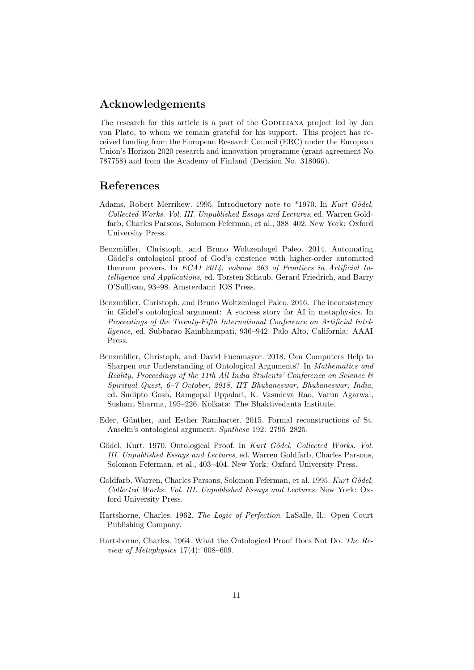### Acknowledgements

The research for this article is a part of the GODELIANA project led by Jan von Plato, to whom we remain grateful for his support. This project has received funding from the European Research Council (ERC) under the European Union's Horizon 2020 research and innovation programme (grant agreement No 787758) and from the Academy of Finland (Decision No. 318066).

### References

- <span id="page-10-2"></span>Adams, Robert Merrihew. 1995. Introductory note to \*1970. In Kurt Gödel, Collected Works. Vol. III. Unpublished Essays and Lectures, ed. Warren Goldfarb, Charles Parsons, Solomon Feferman, et al., 388–402. New York: Oxford University Press.
- <span id="page-10-4"></span>Benzmüller, Christoph, and Bruno Woltzenlogel Paleo. 2014. Automating Gödel's ontological proof of God's existence with higher-order automated theorem provers. In ECAI 2014, volume 263 of Frontiers in Artificial Intelligence and Applications, ed. Torsten Schaub, Gerard Friedrich, and Barry O'Sullivan, 93–98. Amsterdam: IOS Press.
- <span id="page-10-8"></span>Benzmüller, Christoph, and Bruno Woltzenlogel Paleo. 2016. The inconsistency in Gödel's ontological argument: A success story for AI in metaphysics. In Proceedings of the Twenty-Fifth International Conference on Artificial Intelligence, ed. Subbarao Kambhampati, 936–942. Palo Alto, California: AAAI Press.
- <span id="page-10-5"></span>Benzmüller, Christoph, and David Fuenmayor. 2018. Can Computers Help to Sharpen our Understanding of Ontological Arguments? In Mathematics and Reality, Proceedings of the 11th All India Students' Conference on Science  $\mathcal{C}$ Spiritual Quest, 6–7 October, 2018, IIT Bhubaneswar, Bhubaneswar, India, ed. Sudipto Gosh, Ramgopal Uppalari, K. Vasudeva Rao, Varun Agarwal, Sushant Sharma, 195–226. Kolkata: The Bhaktivedanta Institute.
- <span id="page-10-3"></span>Eder, Günther, and Esther Ramharter. 2015. Formal reconstructions of St. Anselm's ontological argument. Synthese 192: 2795–2825.
- <span id="page-10-1"></span>Gödel, Kurt. 1970. Ontological Proof. In Kurt Gödel, Collected Works. Vol. III. Unpublished Essays and Lectures, ed. Warren Goldfarb, Charles Parsons, Solomon Feferman, et al., 403–404. New York: Oxford University Press.
- <span id="page-10-6"></span>Goldfarb, Warren, Charles Parsons, Solomon Feferman, et al. 1995. Kurt Gödel, Collected Works. Vol. III. Unpublished Essays and Lectures. New York: Oxford University Press.
- <span id="page-10-0"></span>Hartshorne, Charles. 1962. The Logic of Perfection. LaSalle, Il.: Open Court Publishing Company.
- <span id="page-10-7"></span>Hartshorne, Charles. 1964. What the Ontological Proof Does Not Do. The Review of Metaphysics 17(4): 608–609.